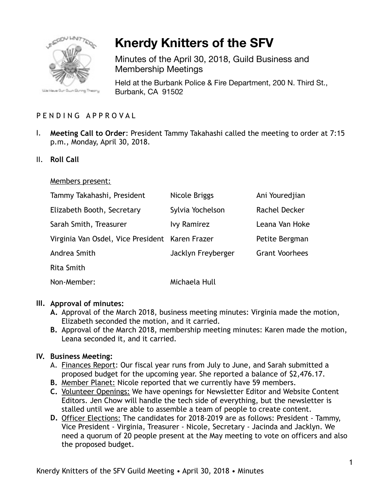

# **Knerdy Knitters of the SFV**

Minutes of the April 30, 2018, Guild Business and Membership Meetings

Held at the Burbank Police & Fire Department, 200 N. Third St., Burbank, CA 91502

# PENDING APPROVAL

- I. **Meeting Call to Order**: President Tammy Takahashi called the meeting to order at 7:15 p.m., Monday, April 30, 2018.
- II. **Roll Call**

#### Members present:

| Tammy Takahashi, President                      | Nicole Briggs      | Ani Youredjian        |
|-------------------------------------------------|--------------------|-----------------------|
| Elizabeth Booth, Secretary                      | Sylvia Yochelson   | Rachel Decker         |
| Sarah Smith, Treasurer                          | <b>Ivy Ramirez</b> | Leana Van Hoke        |
| Virginia Van Osdel, Vice President Karen Frazer |                    | Petite Bergman        |
| Andrea Smith                                    | Jacklyn Freyberger | <b>Grant Voorhees</b> |
| <b>Rita Smith</b>                               |                    |                       |
| Non-Member:                                     | Michaela Hull      |                       |

## **III. Approval of minutes:**

- **A.** Approval of the March 2018, business meeting minutes: Virginia made the motion, Elizabeth seconded the motion, and it carried.
- **B.** Approval of the March 2018, membership meeting minutes: Karen made the motion, Leana seconded it, and it carried.

## **IV. Business Meeting:**

- A. Finances Report: Our fiscal year runs from July to June, and Sarah submitted a proposed budget for the upcoming year. She reported a balance of \$2,476.17.
- **B.** Member Planet: Nicole reported that we currently have 59 members.
- **C.** Volunteer Openings: We have openings for Newsletter Editor and Website Content Editors. Jen Chow will handle the tech side of everything, but the newsletter is stalled until we are able to assemble a team of people to create content.
- **D.** Officer Elections: The candidates for 2018-2019 are as follows: President Tammy, Vice President - Virginia, Treasurer - Nicole, Secretary - Jacinda and Jacklyn. We need a quorum of 20 people present at the May meeting to vote on officers and also the proposed budget.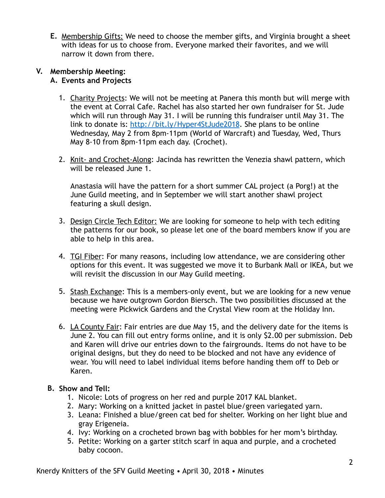**E.** Membership Gifts: We need to choose the member gifts, and Virginia brought a sheet with ideas for us to choose from. Everyone marked their favorites, and we will narrow it down from there.

### **V. Membership Meeting: A. Events and Projects**

- 1. Charity Projects: We will not be meeting at Panera this month but will merge with the event at Corral Cafe. Rachel has also started her own fundraiser for St. Jude which will run through May 31. I will be running this fundraiser until May 31. The link to donate is:<http://bit.ly/Hyper4StJude2018>. She plans to be online Wednesday, May 2 from 8pm-11pm (World of Warcraft) and Tuesday, Wed, Thurs May 8-10 from 8pm-11pm each day. (Crochet).
- 2. Knit- and Crochet-Along: Jacinda has rewritten the Venezia shawl pattern, which will be released June 1.

Anastasia will have the pattern for a short summer CAL project (a Porg!) at the June Guild meeting, and in September we will start another shawl project featuring a skull design.

- 3. Design Circle Tech Editor: We are looking for someone to help with tech editing the patterns for our book, so please let one of the board members know if you are able to help in this area.
- 4. TGI Fiber: For many reasons, including low attendance, we are considering other options for this event. It was suggested we move it to Burbank Mall or IKEA, but we will revisit the discussion in our May Guild meeting.
- 5. Stash Exchange: This is a members-only event, but we are looking for a new venue because we have outgrown Gordon Biersch. The two possibilities discussed at the meeting were Pickwick Gardens and the Crystal View room at the Holiday Inn.
- 6. LA County Fair: Fair entries are due May 15, and the delivery date for the items is June 2. You can fill out entry forms online, and it is only \$2.00 per submission. Deb and Karen will drive our entries down to the fairgrounds. Items do not have to be original designs, but they do need to be blocked and not have any evidence of wear. You will need to label individual items before handing them off to Deb or Karen.

# **B. Show and Tell:**

- 1. Nicole: Lots of progress on her red and purple 2017 KAL blanket.
- 2. Mary: Working on a knitted jacket in pastel blue/green variegated yarn.
- 3. Leana: Finished a blue/green cat bed for shelter. Working on her light blue and gray Erigeneia.
- 4. Ivy: Working on a crocheted brown bag with bobbles for her mom's birthday.
- 5. Petite: Working on a garter stitch scarf in aqua and purple, and a crocheted baby cocoon.